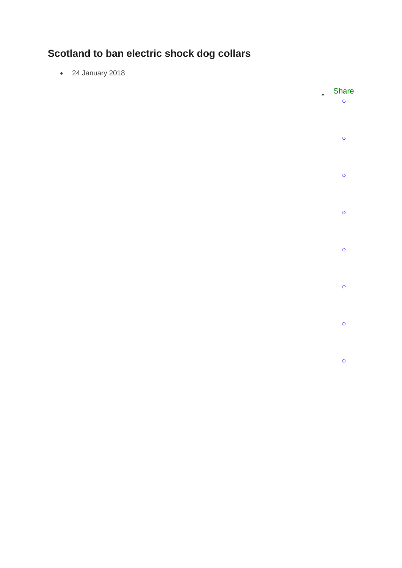## **Scotland to ban electric shock dog collars**

24 January 2018

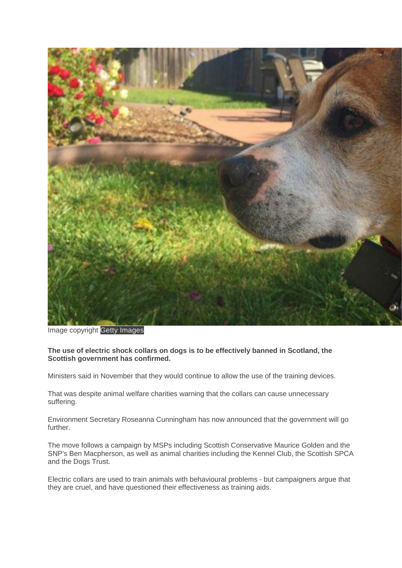

Image copyright Getty Images

## **The use of electric shock collars on dogs is to be effectively banned in Scotland, the Scottish government has confirmed.**

Ministers said in November that they would continue to allow the use of the training devices.

That was despite animal welfare charities warning that the collars can cause unnecessary suffering.

Environment Secretary Roseanna Cunningham has now announced that the government will go further.

The move follows a campaign by MSPs including Scottish Conservative Maurice Golden and the SNP's Ben Macpherson, as well as animal charities including the Kennel Club, the Scottish SPCA and the Dogs Trust.

Electric collars are used to train animals with behavioural problems - but campaigners argue that they are cruel, and have questioned their effectiveness as training aids.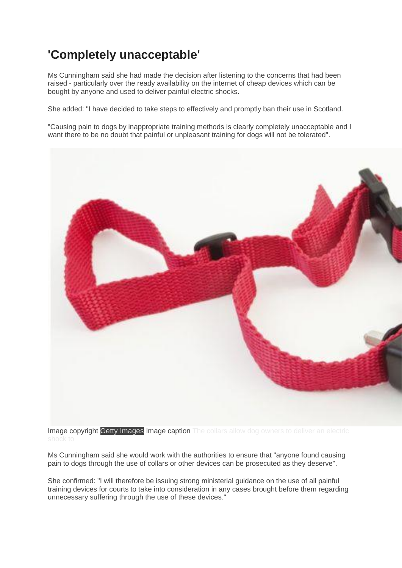## **'Completely unacceptable'**

Ms Cunningham said she had made the decision after listening to the concerns that had been raised - particularly over the ready availability on the internet of cheap devices which can be bought by anyone and used to deliver painful electric shocks.

She added: "I have decided to take steps to effectively and promptly ban their use in Scotland.

"Causing pain to dogs by inappropriate training methods is clearly completely unacceptable and I want there to be no doubt that painful or unpleasant training for dogs will not be tolerated".



Image copyright Getty Images Image caption The collars allow dog owners to deliver an electric

Ms Cunningham said she would work with the authorities to ensure that "anyone found causing pain to dogs through the use of collars or other devices can be prosecuted as they deserve".

She confirmed: "I will therefore be issuing strong ministerial guidance on the use of all painful training devices for courts to take into consideration in any cases brought before them regarding unnecessary suffering through the use of these devices."